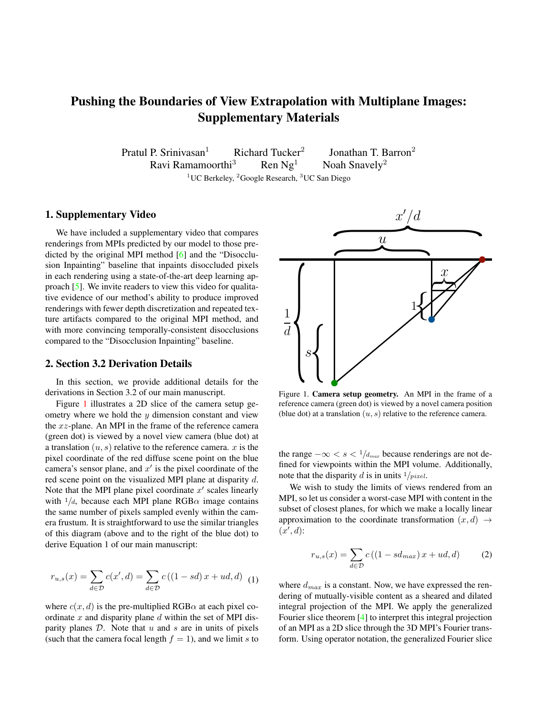# <span id="page-0-2"></span>Pushing the Boundaries of View Extrapolation with Multiplane Images: Supplementary Materials

Pratul P. Srinivasan<sup>1</sup> Richard Tucker<sup>2</sup><br>Ravi Ramamoorthi<sup>3</sup> Ren Ng<sup>1</sup> Jonathan T. Barron<sup>2</sup><br>Noah Snavely<sup>2</sup> Ravi Ramamoorthi<sup>3</sup> <sup>1</sup>UC Berkeley, <sup>2</sup>Google Research, <sup>3</sup>UC San Diego

### 1. Supplementary Video

We have included a supplementary video that compares renderings from MPIs predicted by our model to those predicted by the original MPI method [\[6\]](#page-2-0) and the "Disocclusion Inpainting" baseline that inpaints disoccluded pixels in each rendering using a state-of-the-art deep learning approach [\[5\]](#page-2-1). We invite readers to view this video for qualitative evidence of our method's ability to produce improved renderings with fewer depth discretization and repeated texture artifacts compared to the original MPI method, and with more convincing temporally-consistent disocclusions compared to the "Disocclusion Inpainting" baseline.

#### 2. Section 3.2 Derivation Details

In this section, we provide additional details for the derivations in Section 3.2 of our main manuscript.

Figure [1](#page-0-0) illustrates a 2D slice of the camera setup geometry where we hold the y dimension constant and view the  $xz$ -plane. An MPI in the frame of the reference camera (green dot) is viewed by a novel view camera (blue dot) at a translation  $(u, s)$  relative to the reference camera. x is the pixel coordinate of the red diffuse scene point on the blue camera's sensor plane, and  $x'$  is the pixel coordinate of the red scene point on the visualized MPI plane at disparity d. Note that the MPI plane pixel coordinate  $x'$  scales linearly with  $1/d$ , because each MPI plane RGB $\alpha$  image contains the same number of pixels sampled evenly within the camera frustum. It is straightforward to use the similar triangles of this diagram (above and to the right of the blue dot) to derive Equation 1 of our main manuscript:

$$
r_{u,s}(x) = \sum_{d \in \mathcal{D}} c(x', d) = \sum_{d \in \mathcal{D}} c((1 - sd) x + ud, d)
$$
 (1)

where  $c(x, d)$  is the pre-multiplied RGB $\alpha$  at each pixel coordinate  $x$  and disparity plane  $d$  within the set of MPI disparity planes  $D$ . Note that  $u$  and  $s$  are in units of pixels (such that the camera focal length  $f = 1$ ), and we limit s to



<span id="page-0-0"></span>Figure 1. Camera setup geometry. An MPI in the frame of a reference camera (green dot) is viewed by a novel camera position (blue dot) at a translation  $(u, s)$  relative to the reference camera.

the range  $-\infty < s < 1/d_{max}$  because renderings are not defined for viewpoints within the MPI volume. Additionally, note that the disparity d is in units  $1/pixel$ .

We wish to study the limits of views rendered from an MPI, so let us consider a worst-case MPI with content in the subset of closest planes, for which we make a locally linear approximation to the coordinate transformation  $(x, d) \rightarrow$  $(x', d)$ :

<span id="page-0-1"></span>
$$
r_{u,s}(x) = \sum_{d \in \mathcal{D}} c\left( (1 - sd_{max}) x + ud, d \right) \tag{2}
$$

where  $d_{max}$  is a constant. Now, we have expressed the rendering of mutually-visible content as a sheared and dilated integral projection of the MPI. We apply the generalized Fourier slice theorem [\[4\]](#page-2-2) to interpret this integral projection of an MPI as a 2D slice through the 3D MPI's Fourier transform. Using operator notation, the generalized Fourier slice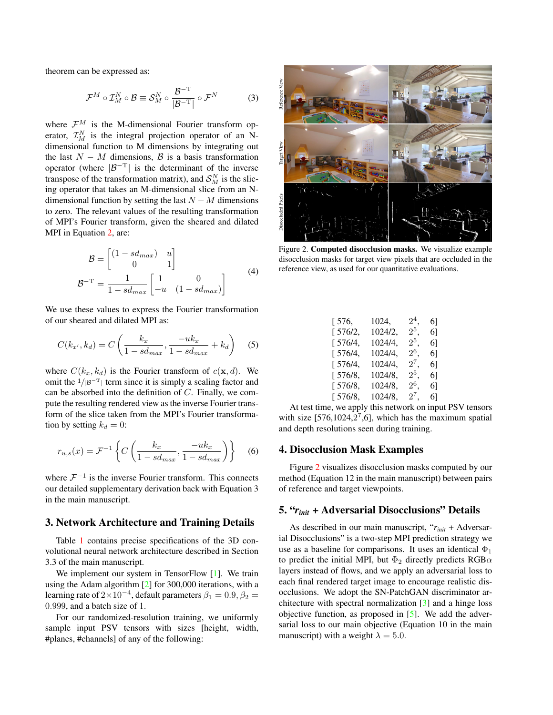<span id="page-1-1"></span>theorem can be expressed as:

$$
\mathcal{F}^M \circ \mathcal{I}_M^N \circ \mathcal{B} \equiv \mathcal{S}_M^N \circ \frac{\mathcal{B}^{-T}}{|\mathcal{B}^{-T}|} \circ \mathcal{F}^N \tag{3}
$$

where  $\mathcal{F}^M$  is the M-dimensional Fourier transform operator,  $\mathcal{I}_{M}^{N}$  is the integral projection operator of an Ndimensional function to M dimensions by integrating out the last  $N - M$  dimensions,  $\beta$  is a basis transformation operator (where  $|\mathcal{B}^{-T}|$  is the determinant of the inverse transpose of the transformation matrix), and  $S_M^N$  is the slicing operator that takes an M-dimensional slice from an Ndimensional function by setting the last  $N - M$  dimensions to zero. The relevant values of the resulting transformation of MPI's Fourier transform, given the sheared and dilated MPI in Equation [2,](#page-0-1) are:

$$
\mathcal{B} = \begin{bmatrix} (1 - sd_{max}) & u \\ 0 & 1 \end{bmatrix}
$$

$$
\mathcal{B}^{-T} = \frac{1}{1 - sd_{max}} \begin{bmatrix} 1 & 0 \\ -u & (1 - sd_{max}) \end{bmatrix}
$$
(4)

We use these values to express the Fourier transformation of our sheared and dilated MPI as:

$$
C(k_{x'}, k_d) = C\left(\frac{k_x}{1 - sd_{max}}, \frac{-uk_x}{1 - sd_{max}} + k_d\right)
$$
 (5)

where  $C(k_x, k_d)$  is the Fourier transform of  $c(\mathbf{x}, d)$ . We omit the  $1/|B^{-T}|$  term since it is simply a scaling factor and can be absorbed into the definition of C. Finally, we compute the resulting rendered view as the inverse Fourier transform of the slice taken from the MPI's Fourier transformation by setting  $k_d = 0$ :

$$
r_{u,s}(x) = \mathcal{F}^{-1}\left\{ C\left(\frac{k_x}{1 - sd_{max}}, \frac{-uk_x}{1 - sd_{max}}\right) \right\} \tag{6}
$$

where  $\mathcal{F}^{-1}$  is the inverse Fourier transform. This connects our detailed supplementary derivation back with Equation 3 in the main manuscript.

#### 3. Network Architecture and Training Details

Table [1](#page-2-3) contains precise specifications of the 3D convolutional neural network architecture described in Section 3.3 of the main manuscript.

We implement our system in TensorFlow [\[1\]](#page-2-4). We train using the Adam algorithm [\[2\]](#page-2-5) for 300,000 iterations, with a learning rate of  $2\times10^{-4}$ , default parameters  $\beta_1=0.9, \beta_2=$ 0.999, and a batch size of 1.

For our randomized-resolution training, we uniformly sample input PSV tensors with sizes [height, width, #planes, #channels] of any of the following:



<span id="page-1-0"></span>Figure 2. Computed disocclusion masks. We visualize example disocclusion masks for target view pixels that are occluded in the reference view, as used for our quantitative evaluations.

| 576,    | 1024,   | $2^4$ , | 61 |
|---------|---------|---------|----|
| 1576/2, | 1024/2. | $2^5,$  | 61 |
| 576/4,  | 1024/4. | $2^5.$  | 61 |
| 576/4,  | 1024/4. | $2^6$ . | 61 |
| 576/4,  | 1024/4. | $2^7.$  | 61 |
| 576/8,  | 1024/8. | $2^5.$  | 61 |
| [576/8, | 1024/8. | $2^6$ . | 61 |
| [576/8, | 1024/8. | $2^7.$  | 61 |

At test time, we apply this network on input PSV tensors with size  $[576, 1024, 2^7, 6]$ , which has the maximum spatial and depth resolutions seen during training.

## 4. Disocclusion Mask Examples

Figure [2](#page-1-0) visualizes disocclusion masks computed by our method (Equation 12 in the main manuscript) between pairs of reference and target viewpoints.

## 5. "*rinit* + Adversarial Disocclusions" Details

As described in our main manuscript, "*rinit* + Adversarial Disocclusions" is a two-step MPI prediction strategy we use as a baseline for comparisons. It uses an identical  $\Phi_1$ to predict the initial MPI, but  $\Phi_2$  directly predicts RGB $\alpha$ layers instead of flows, and we apply an adversarial loss to each final rendered target image to encourage realistic disocclusions. We adopt the SN-PatchGAN discriminator architecture with spectral normalization [\[3\]](#page-2-6) and a hinge loss objective function, as proposed in [\[5\]](#page-2-1). We add the adversarial loss to our main objective (Equation 10 in the main manuscript) with a weight  $\lambda = 5.0$ .